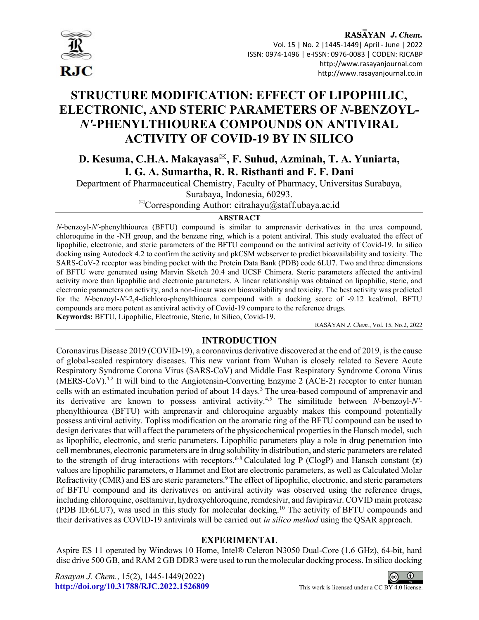

I

# STRUCTURE MODIFICATION: EFFECT OF LIPOPHILIC, ELECTRONIC, AND STERIC PARAMETERS OF N-BENZOYL-N'-PHENYLTHIOUREA COMPOUNDS ON ANTIVIRAL ACTIVITY OF COVID-19 BY IN SILICO

D. Kesuma, C.H.A. Makayasa<sup>⊠</sup>, F. Suhud, Azminah, T. A. Yuniarta, I. G. A. Sumartha, R. R. Risthanti and F. F. Dani

Department of Pharmaceutical Chemistry, Faculty of Pharmacy, Universitas Surabaya, Surabaya, Indonesia, 60293.

 ${}^{\boxtimes}$ Corresponding Author: citrahayu@staff.ubaya.ac.id

## **ABSTRACT**

N-benzoyl-N'-phenylthiourea (BFTU) compound is similar to amprenavir derivatives in the urea compound, chloroquine in the -NH group, and the benzene ring, which is a potent antiviral. This study evaluated the effect of lipophilic, electronic, and steric parameters of the BFTU compound on the antiviral activity of Covid-19. In silico docking using Autodock 4.2 to confirm the activity and pkCSM webserver to predict bioavailability and toxicity. The SARS-CoV-2 receptor was binding pocket with the Protein Data Bank (PDB) code 6LU7. Two and three dimensions of BFTU were generated using Marvin Sketch 20.4 and UCSF Chimera. Steric parameters affected the antiviral activity more than lipophilic and electronic parameters. A linear relationship was obtained on lipophilic, steric, and electronic parameters on activity, and a non-linear was on bioavailability and toxicity. The best activity was predicted for the N-benzoyl-N'-2,4-dichloro-phenylthiourea compound with a docking score of -9.12 kcal/mol. BFTU compounds are more potent as antiviral activity of Covid-19 compare to the reference drugs. Keywords: BFTU, Lipophilic, Electronic, Steric, In Silico, Covid-19.

RASĀYAN J. Chem., Vol. 15, No.2, 2022

# INTRODUCTION

Coronavirus Disease 2019 (COVID-19), a coronavirus derivative discovered at the end of 2019, is the cause of global-scaled respiratory diseases. This new variant from Wuhan is closely related to Severe Acute Respiratory Syndrome Corona Virus (SARS-CoV) and Middle East Respiratory Syndrome Corona Virus  $(MERS-CoV).<sup>1,2</sup>$  It will bind to the Angiotensin-Converting Enzyme 2 (ACE-2) receptor to enter human cells with an estimated incubation period of about 14 days.<sup>3</sup> The urea-based compound of amprenavir and its derivative are known to possess antiviral activity.<sup>4,5</sup> The similitude between  $N$ -benzoyl- $N'$ phenylthiourea (BFTU) with amprenavir and chloroquine arguably makes this compound potentially possess antiviral activity. Topliss modification on the aromatic ring of the BFTU compound can be used to design derivates that will affect the parameters of the physicochemical properties in the Hansch model, such as lipophilic, electronic, and steric parameters. Lipophilic parameters play a role in drug penetration into cell membranes, electronic parameters are in drug solubility in distribution, and steric parameters are related to the strength of drug interactions with receptors.<sup>6-8</sup> Calculated log P (ClogP) and Hansch constant  $(\pi)$ values are lipophilic parameters, σ Hammet and Etot are electronic parameters, as well as Calculated Molar Refractivity (CMR) and ES are steric parameters.<sup>9</sup> The effect of lipophilic, electronic, and steric parameters of BFTU compound and its derivatives on antiviral activity was observed using the reference drugs, including chloroquine, oseltamivir, hydroxychloroquine, remdesivir, and favipiravir. COVID main protease (PDB ID:6LU7), was used in this study for molecular docking.<sup>10</sup> The activity of BFTU compounds and their derivatives as COVID-19 antivirals will be carried out in silico method using the QSAR approach.

#### EXPERIMENTAL

Aspire ES 11 operated by Windows 10 Home, Intel® Celeron N3050 Dual-Core (1.6 GHz), 64-bit, hard disc drive 500 GB, and RAM 2 GB DDR3 were used to run the molecular docking process. In silico docking



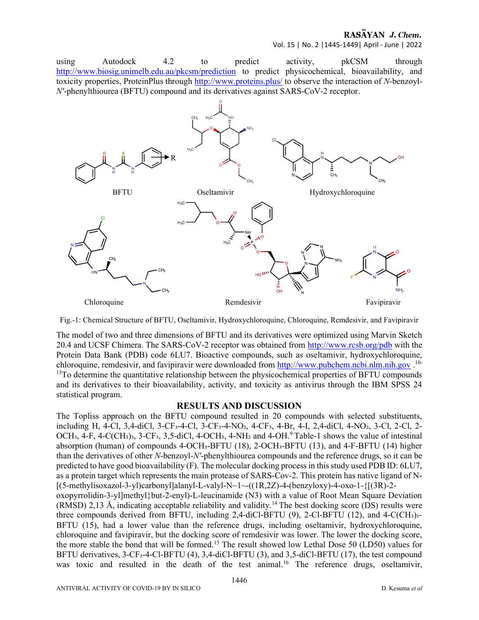Vol. 15 | No. 2 |1445-1449| April - June | 2022

using Autodock 4.2 to predict activity, pkCSM through http://www.biosig.unimelb.edu.au/pkcsm/prediction to predict physicochemical, bioavailability, and toxicity properties, ProteinPlus through http://www.proteins.plus/ to observe the interaction of N-benzoyl-N'-phenylthiourea (BFTU) compound and its derivatives against SARS-CoV-2 receptor.



Fig.-1: Chemical Structure of BFTU, Oseltamivir, Hydroxychloroquine, Chloroquine, Remdesivir, and Favipiravir

The model of two and three dimensions of BFTU and its derivatives were optimized using Marvin Sketch 20.4 and UCSF Chimera. The SARS-CoV-2 receptor was obtained from http://www.rcsb.org/pdb with the Protein Data Bank (PDB) code 6LU7. Bioactive compounds, such as oseltamivir, hydroxychloroquine, chloroquine, remdesivir, and favipiravir were downloaded from http://www.pubchem.ncbi.nlm.nih.gov.<sup>10-</sup> <sup>13</sup>To determine the quantitative relationship between the physicochemical properties of BFTU compounds and its derivatives to their bioavailability, activity, and toxicity as antivirus through the IBM SPSS 24 statistical program.

#### RESULTS AND DISCUSSION

The Topliss approach on the BFTU compound resulted in 20 compounds with selected substituents, including H, 4-Cl, 3,4-diCl, 3-CF₃-4-Cl, 3-CF₃-4-NO₂, 4-CF₃, 4-Br, 4-I, 2,4-diCl, 4-NO₂, 3-Cl, 2-Cl, 2- OCH<sub>3</sub>, 4-F, 4-C(CH<sub>3</sub>)<sub>3</sub>, 3-CF<sub>3</sub>, 3,5-diCl, 4-OCH<sub>3</sub>, 4-NH<sub>2</sub> and 4-OH.<sup>9</sup> Table-1 shows the value of intestinal absorption (human) of compounds 4-OCH<sub>3</sub>-BFTU (18), 2-OCH<sub>3</sub>-BFTU (13), and 4-F-BFTU (14) higher than the derivatives of other N-benzoyl-N'-phenylthiourea compounds and the reference drugs, so it can be predicted to have good bioavailability (F). The molecular docking process in this study used PDB ID: 6LU7, as a protein target which represents the main protease of SARS-Cov-2. This protein has native ligand of N-  $[(5-methylisoxazol-3-yl)carbonyl]alanyl-L-valyl-N~1~(-((1R,2Z)-4-(benzyloxy)-4-oxo-1-{(3R)-2-})]$ oxopyrrolidin-3-yl]methyl}but-2-enyl)-L-leucinamide (N3) with a value of Root Mean Square Deviation (RMSD) 2,13 Å, indicating acceptable reliability and validity.<sup>14</sup> The best docking score (DS) results were three compounds derived from BFTU, including 2,4-diCl-BFTU  $(9)$ , 2-Cl-BFTU  $(12)$ , and 4-C(CH<sub>3</sub>)<sub>3</sub>-BFTU (15), had a lower value than the reference drugs, including oseltamivir, hydroxychloroquine, chloroquine and favipiravir, but the docking score of remdesivir was lower. The lower the docking score, the more stable the bond that will be formed.<sup>15</sup> The result showed low Lethal Dose 50 (LD50) values for BFTU derivatives, 3-CF<sub>3</sub>-4-Cl-BFTU (4), 3,4-diCl-BFTU (3), and 3,5-diCl-BFTU (17), the test compound was toxic and resulted in the death of the test animal.<sup>16</sup> The reference drugs, oseltamivir,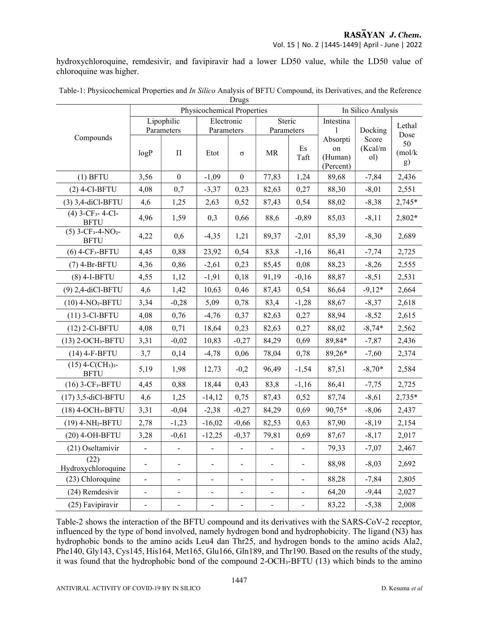hydroxychloroquine, remdesivir, and favipiravir had a lower LD50 value, while the LD50 value of chloroquine was higher.

| Drugs                                                       |                            |                              |                              |                              |                              |                          |                                        |                  |                     |  |
|-------------------------------------------------------------|----------------------------|------------------------------|------------------------------|------------------------------|------------------------------|--------------------------|----------------------------------------|------------------|---------------------|--|
|                                                             | Physicochemical Properties |                              |                              |                              |                              |                          | In Silico Analysis                     |                  |                     |  |
| Compounds                                                   | Lipophilic                 |                              | Electronic                   |                              | Steric                       |                          | Intestina<br>1                         | Docking<br>Score | Lethal              |  |
|                                                             | Parameters                 |                              | Parameters                   |                              | Parameters                   |                          |                                        |                  | Dose                |  |
|                                                             | logP                       | $\Pi$                        | Etot                         | $\sigma$                     | MR                           | Es<br>Taft               | Absorpti<br>on<br>(Human)<br>(Percent) | (Kcal/m<br>ol)   | 50<br>(mol/k)<br>g) |  |
| $(1)$ BFTU                                                  | 3,56                       | $\boldsymbol{0}$             | $-1,09$                      | $\boldsymbol{0}$             | 77,83                        | 1,24                     | 89,68                                  | $-7,84$          | 2,436               |  |
| $(2)$ 4-Cl-BFTU                                             | 4,08                       | 0,7                          | $-3,37$                      | 0,23                         | 82,63                        | 0,27                     | 88,30                                  | $-8,01$          | 2,551               |  |
| (3) 3,4-diCl-BFTU                                           | 4,6                        | 1,25                         | 2,63                         | 0,52                         | 87,43                        | 0,54                     | 88,02                                  | $-8,38$          | 2,745*              |  |
| $(4)$ 3-CF <sub>3</sub> -4-Cl-<br><b>BFTU</b>               | 4,96                       | 1,59                         | 0,3                          | 0,66                         | 88,6                         | $-0,89$                  | 85,03                                  | $-8,11$          | 2,802*              |  |
| $(5)$ 3-CF <sub>3</sub> -4-NO <sub>2</sub> -<br><b>BFTU</b> | 4,22                       | 0,6                          | $-4,35$                      | 1,21                         | 89,37                        | $-2,01$                  | 85,39                                  | $-8,30$          | 2,689               |  |
| $(6)$ 4-CF <sub>3</sub> -BFTU                               | 4,45                       | 0,88                         | 23,92                        | 0,54                         | 83,8                         | $-1,16$                  | 86,41                                  | $-7,74$          | 2,725               |  |
| $(7)$ 4-Br-BFTU                                             | 4,36                       | 0,86                         | $-2,61$                      | 0,23                         | 85,45                        | 0,08                     | 88,23                                  | $-8,26$          | 2,555               |  |
| $(8)$ 4-I-BFTU                                              | 4,55                       | 1,12                         | $-1,91$                      | 0,18                         | 91,19                        | $-0,16$                  | 88,87                                  | $-8,51$          | 2,531               |  |
| (9) 2,4-diCl-BFTU                                           | 4,6                        | 1,42                         | 10,63                        | 0,46                         | 87,43                        | 0,54                     | 86,64                                  | $-9,12*$         | 2,664               |  |
| $(10)$ 4-NO <sub>2</sub> -BFTU                              | 3,34                       | $-0,28$                      | 5,09                         | 0,78                         | 83,4                         | $-1,28$                  | 88,67                                  | $-8,37$          | 2,618               |  |
| $(11)$ 3-Cl-BFTU                                            | 4,08                       | 0,76                         | $-4,76$                      | 0,37                         | 82,63                        | 0,27                     | 88,94                                  | $-8,52$          | 2,615               |  |
| $(12)$ 2-Cl-BFTU                                            | 4,08                       | 0,71                         | 18,64                        | 0,23                         | 82,63                        | 0,27                     | 88,02                                  | $-8,74*$         | 2,562               |  |
| (13) 2-OCH <sub>3</sub> -BFTU                               | 3,31                       | $-0,02$                      | 10,83                        | $-0,27$                      | 84,29                        | 0,69                     | 89,84*                                 | $-7,87$          | 2,436               |  |
| $(14)$ 4-F-BFTU                                             | 3,7                        | 0,14                         | $-4,78$                      | 0,06                         | 78,04                        | 0,78                     | 89,26*                                 | $-7,60$          | 2,374               |  |
| $(15)$ 4-C(CH <sub>3</sub> ) <sub>3</sub> -<br><b>BFTU</b>  | 5,19                       | 1,98                         | 12,73                        | $-0,2$                       | 96,49                        | $-1,54$                  | 87,51                                  | $-8,70*$         | 2,584               |  |
| $(16)$ 3-CF <sub>3</sub> -BFTU                              | 4,45                       | 0,88                         | 18,44                        | 0,43                         | 83,8                         | $-1,16$                  | 86,41                                  | $-7,75$          | 2,725               |  |
| (17) 3,5-diCl-BFTU                                          | 4,6                        | 1,25                         | $-14,12$                     | 0,75                         | 87,43                        | 0,52                     | 87,74                                  | $-8,61$          | 2,735*              |  |
| (18) 4-OCH <sub>3</sub> -BFTU                               | 3,31                       | $-0,04$                      | $-2,38$                      | $-0,27$                      | 84,29                        | 0,69                     | 90,75*                                 | $-8,06$          | 2,437               |  |
| (19) 4-NH <sub>2</sub> -BFTU                                | 2,78                       | $-1,23$                      | $-16,02$                     | $-0,66$                      | 82,53                        | 0,63                     | 87,90                                  | $-8,19$          | 2,154               |  |
| (20) 4-OH-BFTU                                              | 3,28                       | $-0,61$                      | $-12,25$                     | $-0,37$                      | 79,81                        | 0,69                     | 87,67                                  | $-8,17$          | 2,017               |  |
| (21) Oseltamivir                                            |                            |                              |                              |                              |                              |                          | 79,33                                  | $-7,07$          | 2,467               |  |
| (22)<br>Hydroxychloroquine                                  |                            | $\overline{\phantom{a}}$     |                              |                              |                              |                          | 88,98                                  | $-8,03$          | 2,692               |  |
| (23) Chloroquine                                            | $\blacksquare$             | $\qquad \qquad \blacksquare$ | $\blacksquare$               | $\qquad \qquad \blacksquare$ | $\overline{\phantom{0}}$     | $\overline{\phantom{0}}$ | 88,28                                  | $-7,84$          | 2,805               |  |
| (24) Remdesivir                                             | $\overline{\phantom{0}}$   | $\qquad \qquad \blacksquare$ | $\qquad \qquad \blacksquare$ | $\overline{\phantom{0}}$     | $\blacksquare$               | -                        | 64,20                                  | $-9,44$          | 2,027               |  |
| (25) Favipiravir                                            | $\blacksquare$             | $\qquad \qquad \blacksquare$ | $\blacksquare$               | $\blacksquare$               | $\qquad \qquad \blacksquare$ | $\overline{\phantom{0}}$ | 83,22                                  | $-5,38$          | 2,008               |  |

| Table-1: Physicochemical Properties and In Silico Analysis of BFTU Compound, its Derivatives, and the Reference |                        |  |
|-----------------------------------------------------------------------------------------------------------------|------------------------|--|
|                                                                                                                 | $\Gamma$ <sub>an</sub> |  |

Table-2 shows the interaction of the BFTU compound and its derivatives with the SARS-CoV-2 receptor, influenced by the type of bond involved, namely hydrogen bond and hydrophobicity. The ligand (N3) has hydrophobic bonds to the amino acids Leu4 dan Thr25, and hydrogen bonds to the amino acids Ala2, Phe140, Gly143, Cys145, His164, Met165, Glu166, Gln189, and Thr190. Based on the results of the study, it was found that the hydrophobic bond of the compound 2-OCH<sub>3</sub>-BFTU (13) which binds to the amino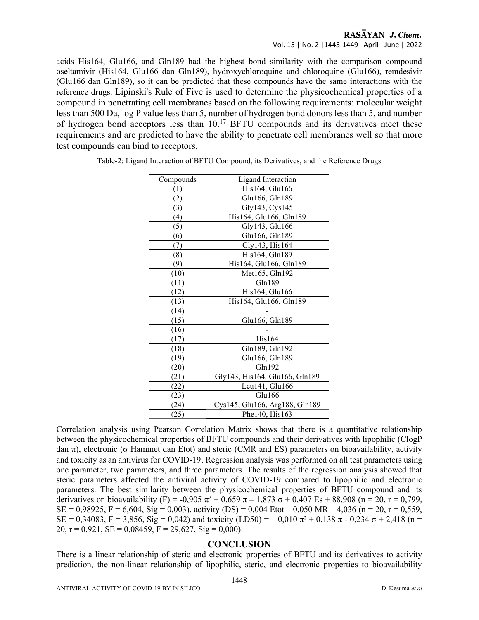acids His164, Glu166, and Gln189 had the highest bond similarity with the comparison compound oseltamivir (His164, Glu166 dan Gln189), hydroxychloroquine and chloroquine (Glu166), remdesivir (Glu166 dan Gln189), so it can be predicted that these compounds have the same interactions with the reference drugs. Lipinski's Rule of Five is used to determine the physicochemical properties of a compound in penetrating cell membranes based on the following requirements: molecular weight less than 500 Da, log P value less than 5, number of hydrogen bond donors less than 5, and number of hydrogen bond acceptors less than  $10<sup>17</sup>$  BFTU compounds and its derivatives meet these requirements and are predicted to have the ability to penetrate cell membranes well so that more test compounds can bind to receptors.

| Compounds        | Ligand Interaction             |
|------------------|--------------------------------|
| (1)              | His164, Glu166                 |
| (2)              | Glu166, Gln189                 |
| (3)              | Gly143, Cys145                 |
| $\left(4\right)$ | His164, Glu166, Gln189         |
| (5)              | Gly143, Glu166                 |
| (6)              | Glu166, Gln189                 |
| (7)              | Gly143, His164                 |
| (8)              | His164, Gln189                 |
| 9)               | His164, Glu166, Gln189         |
| (10)             | Met165, Gln192                 |
| (11)             | Gln189                         |
| (12)             | His164, Glu166                 |
| (13)             | His164, Glu166, Gln189         |
| (14)             |                                |
| (15)             | Glu166, Gln189                 |
| (16)             |                                |
| (17)             | His164                         |
| (18)             | Gln189, Gln192                 |
| (19)             | Glu166, Gln189                 |
| (20)             | Gln192                         |
| (21)             | Gly143, His164, Glu166, Gln189 |
| (22)             | Leu141, Glu166                 |
| (23)             | Glu166                         |
| (24)             | Cys145, Glu166, Arg188, Gln189 |
| (25)             | Phe140, His163                 |

Table-2: Ligand Interaction of BFTU Compound, its Derivatives, and the Reference Drugs

Correlation analysis using Pearson Correlation Matrix shows that there is a quantitative relationship between the physicochemical properties of BFTU compounds and their derivatives with lipophilic (ClogP dan π), electronic (σ Hammet dan Etot) and steric (CMR and ES) parameters on bioavailability, activity and toxicity as an antivirus for COVID-19. Regression analysis was performed on all test parameters using one parameter, two parameters, and three parameters. The results of the regression analysis showed that steric parameters affected the antiviral activity of COVID-19 compared to lipophilic and electronic parameters. The best similarity between the physicochemical properties of BFTU compound and its derivatives on bioavailability (F) = -0,905  $\pi^2$  + 0,659  $\pi$  – 1,873  $\sigma$  + 0,407 Es + 88,908 (n = 20, r = 0,799,  $SE = 0.98925$ ,  $F = 6,604$ ,  $Sig = 0,003$ , activity (DS) = 0,004 Etot – 0,050 MR – 4,036 (n = 20, r = 0,559,  $SE = 0,34083$ ,  $F = 3,856$ ,  $Sig = 0,042$ ) and toxicity  $(LD50) = -0,010 \pi^2 + 0,138 \pi - 0,234 \sigma + 2,418 \mu =$ 20,  $r = 0.921$ ,  $SE = 0.08459$ ,  $F = 29.627$ ,  $Sig = 0.000$ .

#### **CONCLUSION**

There is a linear relationship of steric and electronic properties of BFTU and its derivatives to activity prediction, the non-linear relationship of lipophilic, steric, and electronic properties to bioavailability